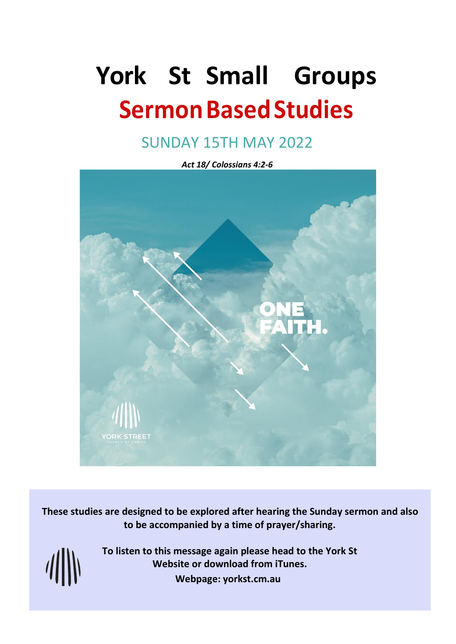# **York St Small Groups Sermon Based Studies**

# SUNDAY 15TH MAY 2022

*Act 18/ Colossians 4:2-6* 

**These studies are designed to be explored after hearing the Sunday sermon and also to be accompanied by a time of prayer/sharing.**

 $\frac{1}{2}$ 

**To listen to this message again please head to the York St Website or download from iTunes. Webpage: yorkst.cm.au**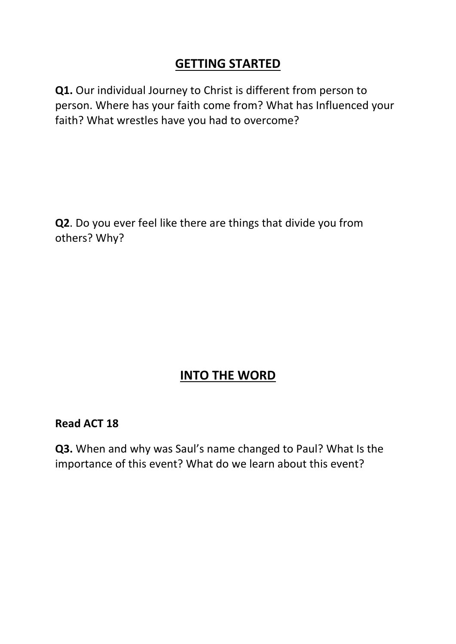# **GETTING STARTED**

**Q1.** Our individual Journey to Christ is different from person to person. Where has your faith come from? What has Influenced your faith? What wrestles have you had to overcome?

**Q2**. Do you ever feel like there are things that divide you from others? Why?

# **INTO THE WORD**

#### **Read ACT 18**

**Q3.** When and why was Saul's name changed to Paul? What Is the importance of this event? What do we learn about this event?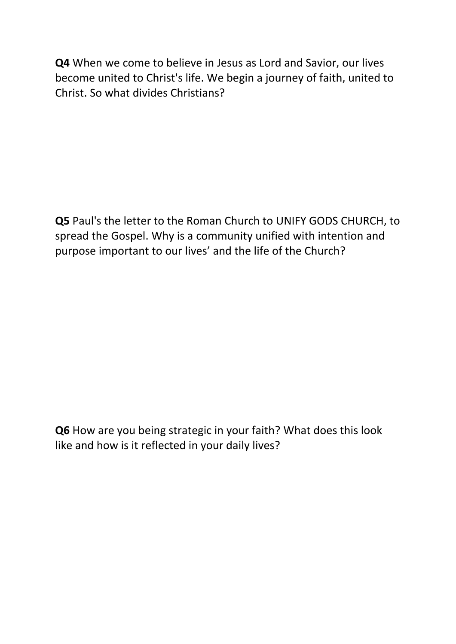**Q4** When we come to believe in Jesus as Lord and Savior, our lives become united to Christ's life. We begin a journey of faith, united to Christ. So what divides Christians?

**Q5** Paul's the letter to the Roman Church to UNIFY GODS CHURCH, to spread the Gospel. Why is a community unified with intention and purpose important to our lives' and the life of the Church?

**Q6** How are you being strategic in your faith? What does this look like and how is it reflected in your daily lives?